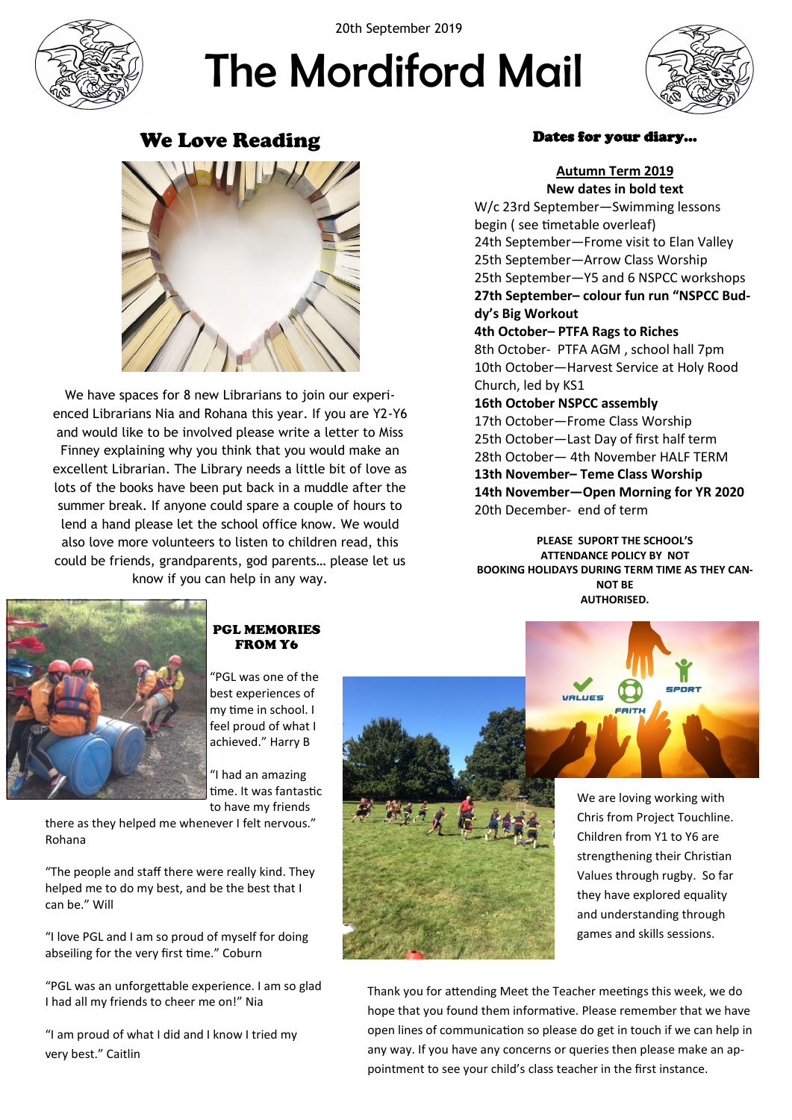

20th September 2019

# The Mordiford Mail



# We Love Reading



We have spaces for 8 new Librarians to join our experienced Librarians Nia and Rohana this year. If you are Y2-Y6 and would like to be involved please write a letter to Miss Finney explaining why you think that you would make an excellent Librarian. The Library needs a little bit of love as lots of the books have been put back in a muddle after the summer break. If anyone could spare a couple of hours to lend a hand please let the school office know. We would also love more volunteers to listen to children read, this could be friends, grandparents, god parents… please let us know if you can help in any way.

#### Dates for your diary…

**Autumn Term 2019 New dates in bold text** W/c 23rd September—Swimming lessons begin ( see timetable overleaf) 24th September—Frome visit to Elan Valley 25th September—Arrow Class Worship 25th September—Y5 and 6 NSPCC workshops **27th September– colour fun run "NSPCC Buddy's Big Workout**

**4th October– PTFA Rags to Riches** 8th October- PTFA AGM , school hall 7pm 10th October—Harvest Service at Holy Rood Church, led by KS1

**16th October NSPCC assembly** 17th October—Frome Class Worship 25th October—Last Day of first half term 28th October— 4th November HALF TERM **13th November– Teme Class Worship 14th November—Open Morning for YR 2020** 20th December- end of term

**PLEASE SUPORT THE SCHOOL'S ATTENDANCE POLICY BY NOT BOOKING HOLIDAYS DURING TERM TIME AS THEY CAN-NOT BE AUTHORISED.**



#### PGL MEMORIES FROM Y6

"PGL was one of the best experiences of my time in school. I feel proud of what I achieved." Harry B

"I had an amazing time. It was fantastic to have my friends

there as they helped me whenever I felt nervous." Rohana

"The people and staff there were really kind. They helped me to do my best, and be the best that I can be." Will

"I love PGL and I am so proud of myself for doing abseiling for the very first time." Coburn

"PGL was an unforgettable experience. I am so glad I had all my friends to cheer me on!" Nia

"I am proud of what I did and I know I tried my very best." Caitlin





SPORT

Thank you for attending Meet the Teacher meetings this week, we do hope that you found them informative. Please remember that we have open lines of communication so please do get in touch if we can help in any way. If you have any concerns or queries then please make an appointment to see your child's class teacher in the first instance.